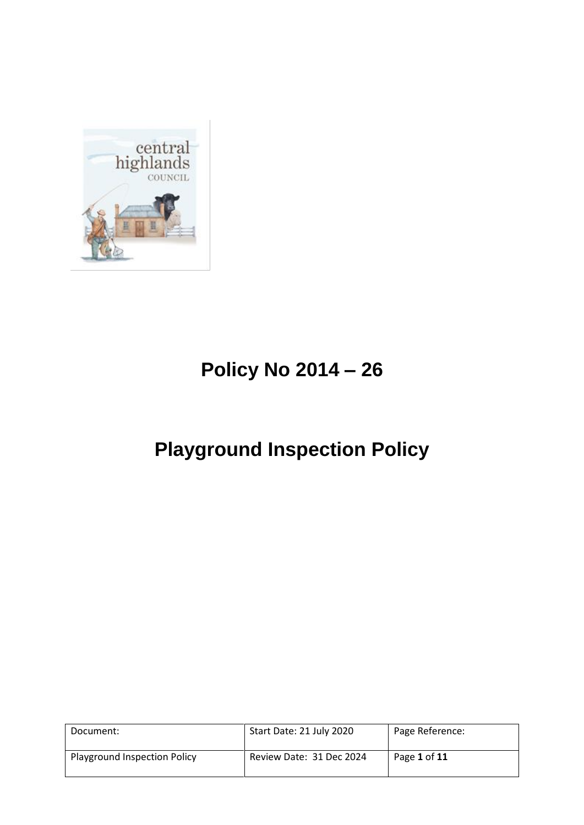

# **Policy No 2014 – 26**

# **Playground Inspection Policy**

| Document:                           | Start Date: 21 July 2020 | Page Reference: |
|-------------------------------------|--------------------------|-----------------|
| <b>Playground Inspection Policy</b> | Review Date: 31 Dec 2024 | Page 1 of 11    |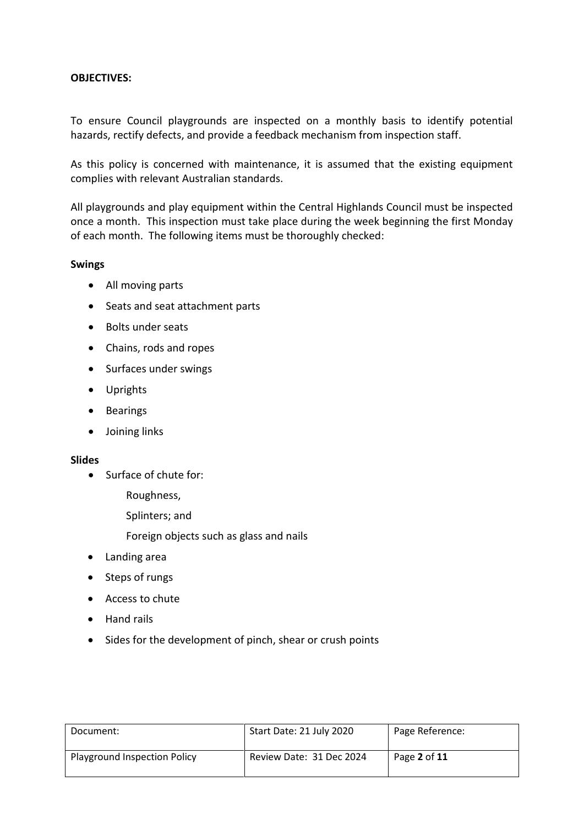### **OBJECTIVES:**

To ensure Council playgrounds are inspected on a monthly basis to identify potential hazards, rectify defects, and provide a feedback mechanism from inspection staff.

As this policy is concerned with maintenance, it is assumed that the existing equipment complies with relevant Australian standards.

All playgrounds and play equipment within the Central Highlands Council must be inspected once a month. This inspection must take place during the week beginning the first Monday of each month. The following items must be thoroughly checked:

### **Swings**

- All moving parts
- Seats and seat attachment parts
- Bolts under seats
- Chains, rods and ropes
- Surfaces under swings
- Uprights
- Bearings
- Joining links

### **Slides**

- Surface of chute for:
	- Roughness,
	- Splinters; and
	- Foreign objects such as glass and nails
- Landing area
- Steps of rungs
- Access to chute
- Hand rails
- Sides for the development of pinch, shear or crush points

| Document:                           | Start Date: 21 July 2020 | Page Reference: |
|-------------------------------------|--------------------------|-----------------|
| <b>Playground Inspection Policy</b> | Review Date: 31 Dec 2024 | Page 2 of 11    |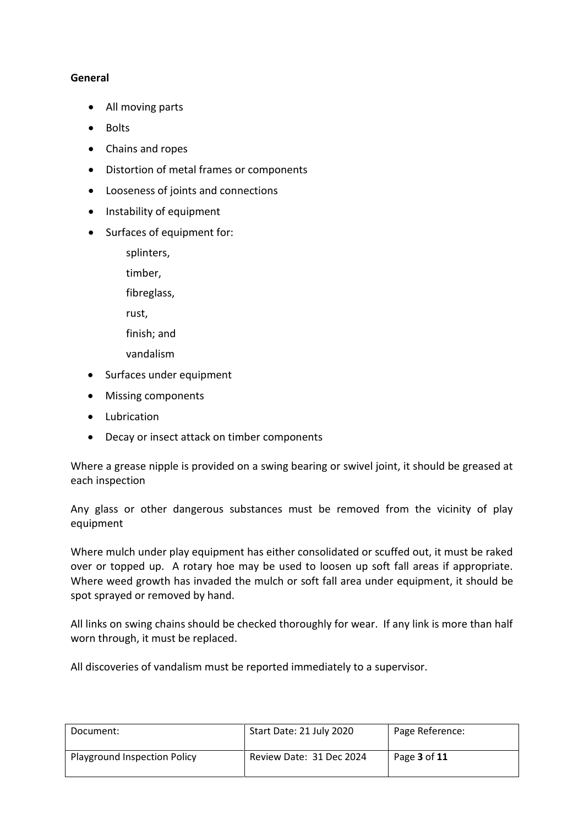# **General**

- All moving parts
- Bolts
- Chains and ropes
- Distortion of metal frames or components
- Looseness of joints and connections
- Instability of equipment
- Surfaces of equipment for:
	- splinters,
	- timber,
	- fibreglass,
	- rust,
	- finish; and
	- vandalism
- Surfaces under equipment
- Missing components
- Lubrication
- Decay or insect attack on timber components

Where a grease nipple is provided on a swing bearing or swivel joint, it should be greased at each inspection

Any glass or other dangerous substances must be removed from the vicinity of play equipment

Where mulch under play equipment has either consolidated or scuffed out, it must be raked over or topped up. A rotary hoe may be used to loosen up soft fall areas if appropriate. Where weed growth has invaded the mulch or soft fall area under equipment, it should be spot sprayed or removed by hand.

All links on swing chains should be checked thoroughly for wear. If any link is more than half worn through, it must be replaced.

All discoveries of vandalism must be reported immediately to a supervisor.

| Document:                           | Start Date: 21 July 2020 | Page Reference:            |
|-------------------------------------|--------------------------|----------------------------|
| <b>Playground Inspection Policy</b> | Review Date: 31 Dec 2024 | Page <b>3</b> of <b>11</b> |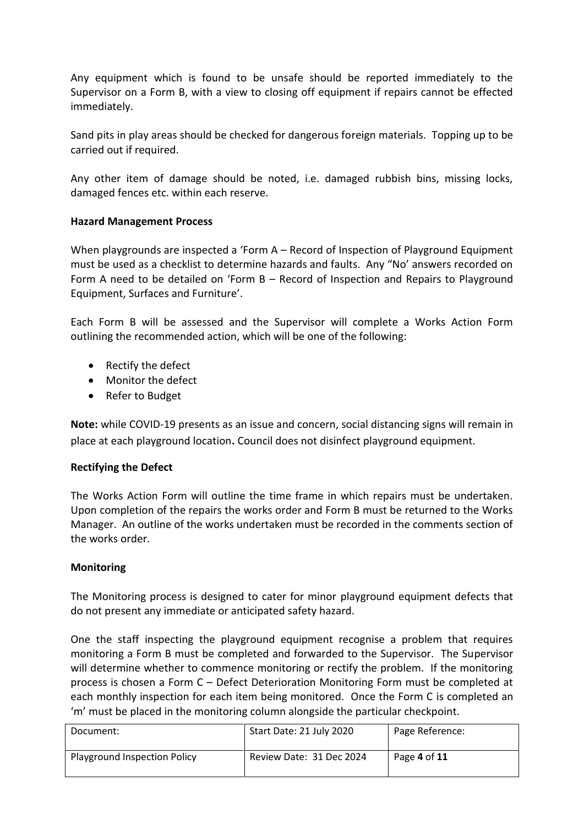Any equipment which is found to be unsafe should be reported immediately to the Supervisor on a Form B, with a view to closing off equipment if repairs cannot be effected immediately.

Sand pits in play areas should be checked for dangerous foreign materials. Topping up to be carried out if required.

Any other item of damage should be noted, i.e. damaged rubbish bins, missing locks, damaged fences etc. within each reserve.

# **Hazard Management Process**

When playgrounds are inspected a 'Form A – Record of Inspection of Playground Equipment must be used as a checklist to determine hazards and faults. Any "No' answers recorded on Form A need to be detailed on 'Form B – Record of Inspection and Repairs to Playground Equipment, Surfaces and Furniture'.

Each Form B will be assessed and the Supervisor will complete a Works Action Form outlining the recommended action, which will be one of the following:

- Rectify the defect
- Monitor the defect
- Refer to Budget

**Note:** while COVID-19 presents as an issue and concern, social distancing signs will remain in place at each playground location**.** Council does not disinfect playground equipment.

# **Rectifying the Defect**

The Works Action Form will outline the time frame in which repairs must be undertaken. Upon completion of the repairs the works order and Form B must be returned to the Works Manager. An outline of the works undertaken must be recorded in the comments section of the works order.

### **Monitoring**

The Monitoring process is designed to cater for minor playground equipment defects that do not present any immediate or anticipated safety hazard.

One the staff inspecting the playground equipment recognise a problem that requires monitoring a Form B must be completed and forwarded to the Supervisor. The Supervisor will determine whether to commence monitoring or rectify the problem. If the monitoring process is chosen a Form C – Defect Deterioration Monitoring Form must be completed at each monthly inspection for each item being monitored. Once the Form C is completed an 'm' must be placed in the monitoring column alongside the particular checkpoint.

| Document:                           | Start Date: 21 July 2020 | Page Reference: |
|-------------------------------------|--------------------------|-----------------|
| <b>Playground Inspection Policy</b> | Review Date: 31 Dec 2024 | Page 4 of 11    |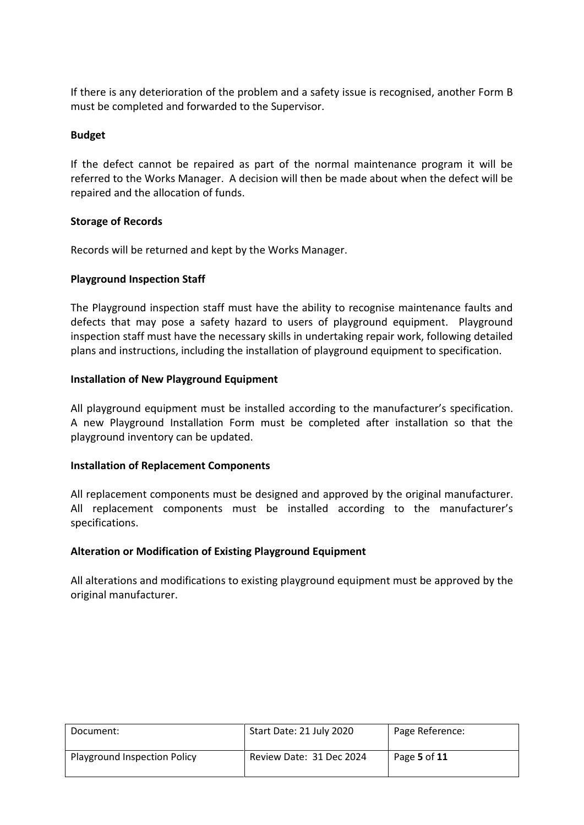If there is any deterioration of the problem and a safety issue is recognised, another Form B must be completed and forwarded to the Supervisor.

# **Budget**

If the defect cannot be repaired as part of the normal maintenance program it will be referred to the Works Manager. A decision will then be made about when the defect will be repaired and the allocation of funds.

# **Storage of Records**

Records will be returned and kept by the Works Manager.

# **Playground Inspection Staff**

The Playground inspection staff must have the ability to recognise maintenance faults and defects that may pose a safety hazard to users of playground equipment. Playground inspection staff must have the necessary skills in undertaking repair work, following detailed plans and instructions, including the installation of playground equipment to specification.

# **Installation of New Playground Equipment**

All playground equipment must be installed according to the manufacturer's specification. A new Playground Installation Form must be completed after installation so that the playground inventory can be updated.

### **Installation of Replacement Components**

All replacement components must be designed and approved by the original manufacturer. All replacement components must be installed according to the manufacturer's specifications.

### **Alteration or Modification of Existing Playground Equipment**

All alterations and modifications to existing playground equipment must be approved by the original manufacturer.

| Document:                           | Start Date: 21 July 2020 | Page Reference: |
|-------------------------------------|--------------------------|-----------------|
| <b>Playground Inspection Policy</b> | Review Date: 31 Dec 2024 | Page 5 of 11    |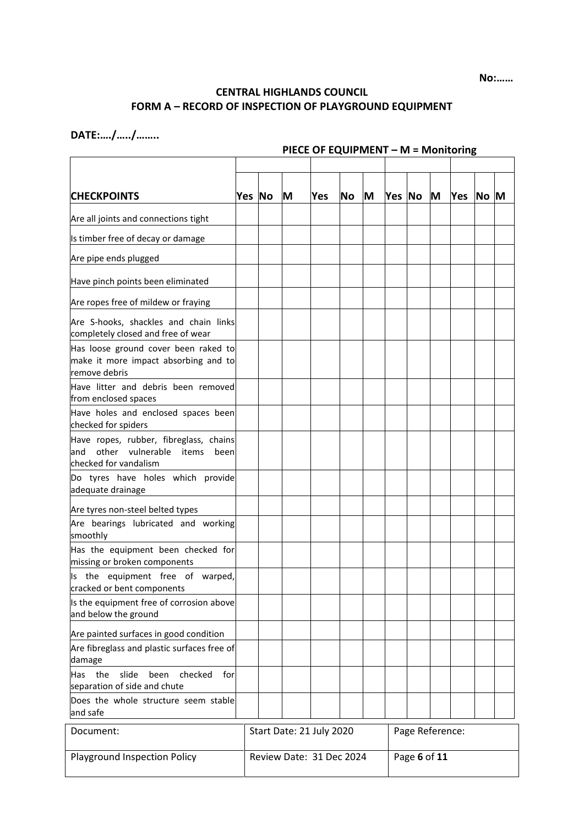# **CENTRAL HIGHLANDS COUNCIL FORM A – RECORD OF INSPECTION OF PLAYGROUND EQUIPMENT**

**DATE:…./…../……..**

# **PIECE OF EQUIPMENT – M = Monitoring**

|                                                                                                                | PIECE OF EQUIPMENT - M = Monitoring |                                             |                          |     |    |   |               |              |   |          |  |  |
|----------------------------------------------------------------------------------------------------------------|-------------------------------------|---------------------------------------------|--------------------------|-----|----|---|---------------|--------------|---|----------|--|--|
|                                                                                                                |                                     |                                             |                          |     |    |   |               |              |   |          |  |  |
| <b>CHECKPOINTS</b>                                                                                             | Yes No                              |                                             | M                        | Yes | No | M | <b>Yes No</b> |              | M | Yes No M |  |  |
|                                                                                                                |                                     |                                             |                          |     |    |   |               |              |   |          |  |  |
| Are all joints and connections tight                                                                           |                                     |                                             |                          |     |    |   |               |              |   |          |  |  |
| Is timber free of decay or damage                                                                              |                                     |                                             |                          |     |    |   |               |              |   |          |  |  |
| Are pipe ends plugged                                                                                          |                                     |                                             |                          |     |    |   |               |              |   |          |  |  |
| Have pinch points been eliminated                                                                              |                                     |                                             |                          |     |    |   |               |              |   |          |  |  |
| Are ropes free of mildew or fraying                                                                            |                                     |                                             |                          |     |    |   |               |              |   |          |  |  |
| Are S-hooks, shackles and chain links<br>completely closed and free of wear                                    |                                     |                                             |                          |     |    |   |               |              |   |          |  |  |
| Has loose ground cover been raked to<br>make it more impact absorbing and to<br>remove debris                  |                                     |                                             |                          |     |    |   |               |              |   |          |  |  |
| Have litter and debris been removed<br>from enclosed spaces                                                    |                                     |                                             |                          |     |    |   |               |              |   |          |  |  |
| Have holes and enclosed spaces been<br>checked for spiders                                                     |                                     |                                             |                          |     |    |   |               |              |   |          |  |  |
| Have ropes, rubber, fibreglass, chains<br>other<br>vulnerable<br>and<br>items<br>been<br>checked for vandalism |                                     |                                             |                          |     |    |   |               |              |   |          |  |  |
| Do tyres have holes which provide<br>adequate drainage                                                         |                                     |                                             |                          |     |    |   |               |              |   |          |  |  |
| Are tyres non-steel belted types                                                                               |                                     |                                             |                          |     |    |   |               |              |   |          |  |  |
| Are bearings lubricated and working<br>smoothly                                                                |                                     |                                             |                          |     |    |   |               |              |   |          |  |  |
| Has the equipment been checked for<br>missing or broken components                                             |                                     |                                             |                          |     |    |   |               |              |   |          |  |  |
| Is the equipment free of warped,<br>cracked or bent components                                                 |                                     |                                             |                          |     |    |   |               |              |   |          |  |  |
| Is the equipment free of corrosion above<br>and below the ground                                               |                                     |                                             |                          |     |    |   |               |              |   |          |  |  |
| Are painted surfaces in good condition                                                                         |                                     |                                             |                          |     |    |   |               |              |   |          |  |  |
| Are fibreglass and plastic surfaces free of<br>damage                                                          |                                     |                                             |                          |     |    |   |               |              |   |          |  |  |
| the<br>slide<br>checked<br>been<br>for<br>Has<br>separation of side and chute                                  |                                     |                                             |                          |     |    |   |               |              |   |          |  |  |
| Does the whole structure seem stable<br>and safe                                                               |                                     |                                             |                          |     |    |   |               |              |   |          |  |  |
| Document:                                                                                                      |                                     | Start Date: 21 July 2020<br>Page Reference: |                          |     |    |   |               |              |   |          |  |  |
| Playground Inspection Policy                                                                                   |                                     |                                             | Review Date: 31 Dec 2024 |     |    |   |               | Page 6 of 11 |   |          |  |  |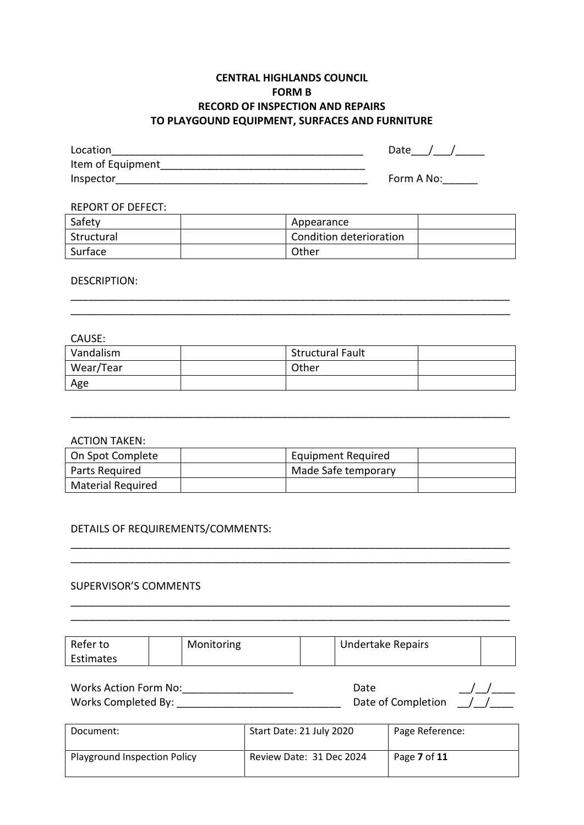# **CENTRAL HIGHLANDS COUNCIL FORM B RECORD OF INSPECTION AND REPAIRS TO PLAYGOUND EQUIPMENT, SURFACES AND FURNITURE**

| Location          | Date       |
|-------------------|------------|
| Item of Equipment |            |
| Inspector         | Form A No: |

### REPORT OF DEFECT:

| Safety     | Appearance              |  |
|------------|-------------------------|--|
| Structural | Condition deterioration |  |
| Surface    | Other                   |  |

\_\_\_\_\_\_\_\_\_\_\_\_\_\_\_\_\_\_\_\_\_\_\_\_\_\_\_\_\_\_\_\_\_\_\_\_\_\_\_\_\_\_\_\_\_\_\_\_\_\_\_\_\_\_\_\_\_\_\_\_\_\_\_\_\_\_\_\_\_\_\_\_\_\_\_

### DESCRIPTION:

\_\_\_\_\_\_\_\_\_\_\_\_\_\_\_\_\_\_\_\_\_\_\_\_\_\_\_\_\_\_\_\_\_\_\_\_\_\_\_\_\_\_\_\_\_\_\_\_\_\_\_\_\_\_\_\_\_\_\_\_\_\_\_\_\_\_\_\_\_\_\_\_\_\_\_

CAUSE:

| Vandalism | <b>Structural Fault</b> |  |
|-----------|-------------------------|--|
| Wear/Tear | Other                   |  |
| Age       |                         |  |

\_\_\_\_\_\_\_\_\_\_\_\_\_\_\_\_\_\_\_\_\_\_\_\_\_\_\_\_\_\_\_\_\_\_\_\_\_\_\_\_\_\_\_\_\_\_\_\_\_\_\_\_\_\_\_\_\_\_\_\_\_\_\_\_\_\_\_\_\_\_\_\_\_\_\_

#### ACTION TAKEN:

| On Spot Complete         | Equipment Required  |  |
|--------------------------|---------------------|--|
| Parts Required           | Made Safe temporary |  |
| <b>Material Required</b> |                     |  |

\_\_\_\_\_\_\_\_\_\_\_\_\_\_\_\_\_\_\_\_\_\_\_\_\_\_\_\_\_\_\_\_\_\_\_\_\_\_\_\_\_\_\_\_\_\_\_\_\_\_\_\_\_\_\_\_\_\_\_\_\_\_\_\_\_\_\_\_\_\_\_\_\_\_\_ \_\_\_\_\_\_\_\_\_\_\_\_\_\_\_\_\_\_\_\_\_\_\_\_\_\_\_\_\_\_\_\_\_\_\_\_\_\_\_\_\_\_\_\_\_\_\_\_\_\_\_\_\_\_\_\_\_\_\_\_\_\_\_\_\_\_\_\_\_\_\_\_\_\_\_

### DETAILS OF REQUIREMENTS/COMMENTS:

### SUPERVISOR'S COMMENTS

| Refer to  | Monitoring | <b>Undertake Repairs</b> |  |
|-----------|------------|--------------------------|--|
| Estimates |            |                          |  |

\_\_\_\_\_\_\_\_\_\_\_\_\_\_\_\_\_\_\_\_\_\_\_\_\_\_\_\_\_\_\_\_\_\_\_\_\_\_\_\_\_\_\_\_\_\_\_\_\_\_\_\_\_\_\_\_\_\_\_\_\_\_\_\_\_\_\_\_\_\_\_\_\_\_\_ \_\_\_\_\_\_\_\_\_\_\_\_\_\_\_\_\_\_\_\_\_\_\_\_\_\_\_\_\_\_\_\_\_\_\_\_\_\_\_\_\_\_\_\_\_\_\_\_\_\_\_\_\_\_\_\_\_\_\_\_\_\_\_\_\_\_\_\_\_\_\_\_\_\_\_

| Works Action Form No: | Date               |  |
|-----------------------|--------------------|--|
| Works Completed By:   | Date of Completion |  |

| Document:                           | Start Date: 21 July 2020 | Page Reference: |
|-------------------------------------|--------------------------|-----------------|
| <b>Playground Inspection Policy</b> | Review Date: 31 Dec 2024 | Page 7 of 11    |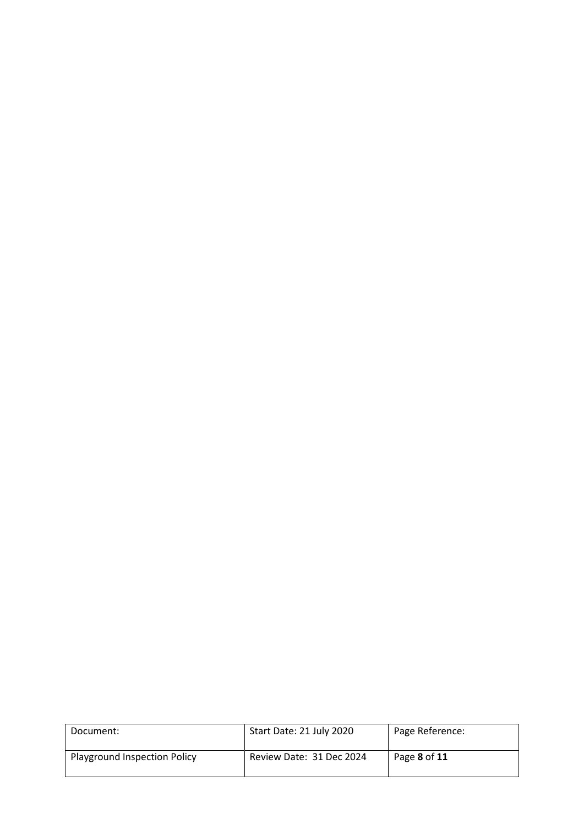| Document:                           | Start Date: 21 July 2020 | Page Reference: |
|-------------------------------------|--------------------------|-----------------|
| <b>Playground Inspection Policy</b> | Review Date: 31 Dec 2024 | Page 8 of 11    |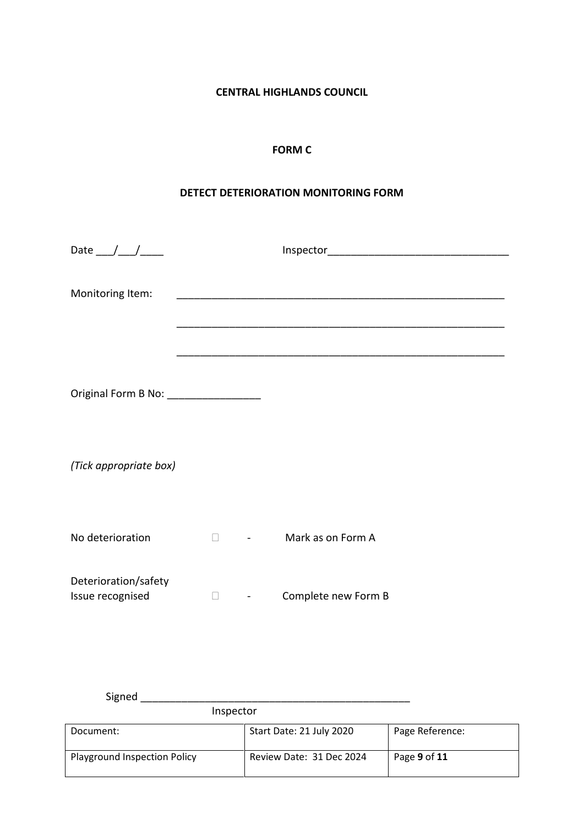# **CENTRAL HIGHLANDS COUNCIL**

# **FORM C**

# **DETECT DETERIORATION MONITORING FORM**

| Date $\_\_\_\_\_\_\_\_\_\_\_\_\_\_\_\_\_\_$ |        |        |                     |
|---------------------------------------------|--------|--------|---------------------|
|                                             |        |        |                     |
| Monitoring Item:                            |        |        |                     |
|                                             |        |        |                     |
|                                             |        |        |                     |
|                                             |        |        |                     |
|                                             |        |        |                     |
| Original Form B No: ___________________     |        |        |                     |
|                                             |        |        |                     |
|                                             |        |        |                     |
| (Tick appropriate box)                      |        |        |                     |
|                                             |        |        |                     |
|                                             |        |        |                     |
|                                             |        |        |                     |
| No deterioration                            | $\Box$ | $\sim$ | Mark as on Form A   |
|                                             |        |        |                     |
| Deterioration/safety<br>Issue recognised    | П      | $\sim$ | Complete new Form B |

| Inspector                           |                          |                 |  |  |
|-------------------------------------|--------------------------|-----------------|--|--|
| Document:                           | Start Date: 21 July 2020 | Page Reference: |  |  |
| <b>Playground Inspection Policy</b> | Review Date: 31 Dec 2024 | Page 9 of 11    |  |  |

Signed \_\_\_\_\_\_\_\_\_\_\_\_\_\_\_\_\_\_\_\_\_\_\_\_\_\_\_\_\_\_\_\_\_\_\_\_\_\_\_\_\_\_\_\_\_\_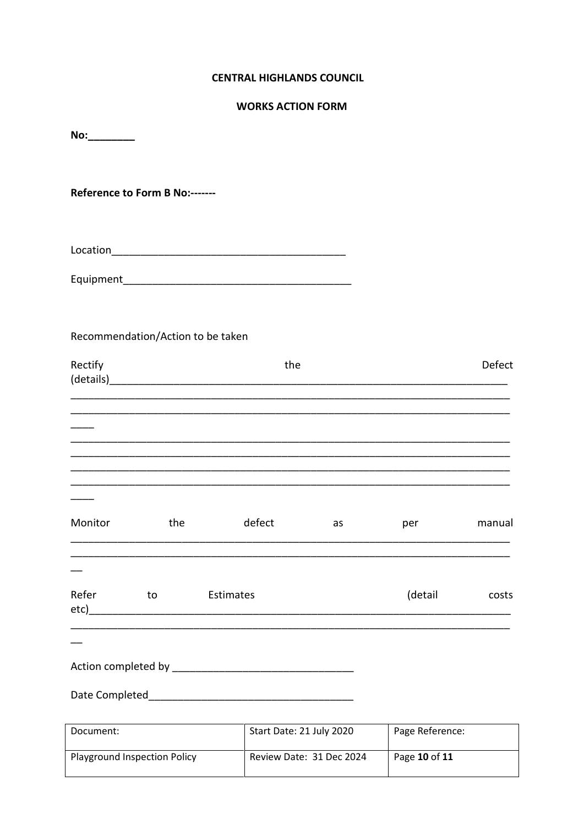### **CENTRAL HIGHLANDS COUNCIL**

### **WORKS ACTION FORM**

|         | Reference to Form B No:-------    |           |    |         |        |
|---------|-----------------------------------|-----------|----|---------|--------|
|         |                                   |           |    |         |        |
|         |                                   |           |    |         |        |
|         |                                   |           |    |         |        |
|         | Recommendation/Action to be taken |           |    |         |        |
| Rectify |                                   | the       |    |         | Defect |
|         |                                   |           |    |         |        |
|         |                                   |           |    |         |        |
|         |                                   |           |    |         |        |
|         |                                   |           |    |         |        |
| Monitor | the                               | defect    | as | per     | manual |
|         |                                   |           |    |         |        |
| Refer   | to                                | Estimates |    | (detail | costs  |
|         |                                   |           |    |         |        |
|         |                                   |           |    |         |        |
|         |                                   |           |    |         |        |
|         |                                   |           |    |         |        |

| Document:                           | Start Date: 21 July 2020 | Page Reference: |
|-------------------------------------|--------------------------|-----------------|
| <b>Playground Inspection Policy</b> | Review Date: 31 Dec 2024 | Page 10 of 11   |